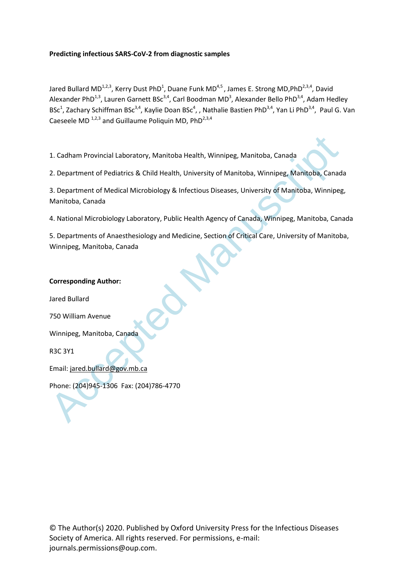# **Predicting infectious SARS-CoV-2 from diagnostic samples**

Jared Bullard MD<sup>1,2,3</sup>, Kerry Dust PhD<sup>1</sup>, Duane Funk MD<sup>4,5</sup>, James E. Strong MD,PhD<sup>2,3,4</sup>, David Alexander PhD<sup>1,3</sup>, Lauren Garnett BSc<sup>3,4</sup>, Carl Boodman MD<sup>3</sup>, Alexander Bello PhD<sup>3,4</sup>, Adam Hedley BSc<sup>1</sup>, Zachary Schiffman BSc<sup>3,4</sup>, Kaylie Doan BSc<sup>4</sup>, , Nathalie Bastien PhD<sup>3,4</sup>, Yan Li PhD<sup>3,4</sup>, Paul G. Van Caeseele MD  $^{1,2,3}$  and Guillaume Poliquin MD, PhD<sup>2,3,4</sup>

1. Cadham Provincial Laboratory, Manitoba Health, Winnipeg, Manitoba, Canada

2. Department of Pediatrics & Child Health, University of Manitoba, Winnipeg, Manitoba, Canada

3. Department of Medical Microbiology & Infectious Diseases, University of Manitoba, Winnipeg, Manitoba, Canada

4. National Microbiology Laboratory, Public Health Agency of Canada, Winnipeg, Manitoba, Canada

1. Cadham Provincial Laboratory, Manitoba Health, Winnipeg, Manitoba, Canada<br>
2. Department of Pediatrics & Child Health, University of Manitoba, Winnipeg, Manitoba, Canada<br>
3. Department of Medical Microbiology & Infectio 5. Departments of Anaesthesiology and Medicine, Section of Critical Care, University of Manitoba, Winnipeg, Manitoba, Canada

# **Corresponding Author:**

Jared Bullard

750 William Avenue

Winnipeg, Manitoba, Canada

R3C 3Y1

Email: jared.bullard@gov.mb.ca

Phone: (204)945-1306 Fax: (204)786-4770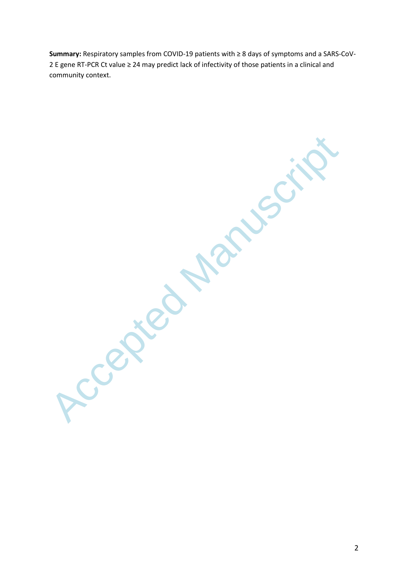**Summary:** Respiratory samples from COVID-19 patients with ≥ 8 days of symptoms and a SARS-CoV-2 E gene RT-PCR Ct value ≥ 24 may predict lack of infectivity of those patients in a clinical and community context.

Ccepted Manusuri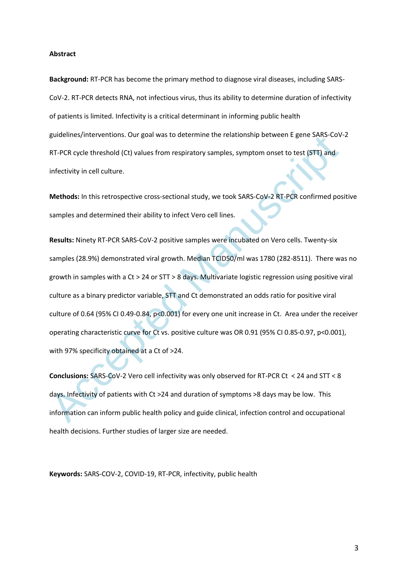### **Abstract**

**Background:** RT-PCR has become the primary method to diagnose viral diseases, including SARS-CoV-2. RT-PCR detects RNA, not infectious virus, thus its ability to determine duration of infectivity of patients is limited. Infectivity is a critical determinant in informing public health guidelines/interventions. Our goal was to determine the relationship between E gene SARS-CoV-2 RT-PCR cycle threshold (Ct) values from respiratory samples, symptom onset to test (STT) and infectivity in cell culture.

**Methods:** In this retrospective cross-sectional study, we took SARS-CoV-2 RT-PCR confirmed positive samples and determined their ability to infect Vero cell lines.

guidelines/interventions. Our goal was to determine the relationship between E gene SARS-CoV<br>RT-PCR cycle threshold (Ct) values from respiratory samples, symptom onset to test (STT) and<br>infectivity in cell culture.<br>Methods **Results:** Ninety RT-PCR SARS-CoV-2 positive samples were incubated on Vero cells. Twenty-six samples (28.9%) demonstrated viral growth. Median TCID50/ml was 1780 (282-8511). There was no growth in samples with a Ct > 24 or STT > 8 days. Multivariate logistic regression using positive viral culture as a binary predictor variable, STT and Ct demonstrated an odds ratio for positive viral culture of 0.64 (95% CI 0.49-0.84, p<0.001) for every one unit increase in Ct. Area under the receiver operating characteristic curve for Ct vs. positive culture was OR 0.91 (95% CI 0.85-0.97, p<0.001), with 97% specificity obtained at a Ct of >24.

**Conclusions:** SARS-CoV-2 Vero cell infectivity was only observed for RT-PCR Ct < 24 and STT < 8 days. Infectivity of patients with Ct >24 and duration of symptoms >8 days may be low. This information can inform public health policy and guide clinical, infection control and occupational health decisions. Further studies of larger size are needed.

**Keywords:** SARS-COV-2, COVID-19, RT-PCR, infectivity, public health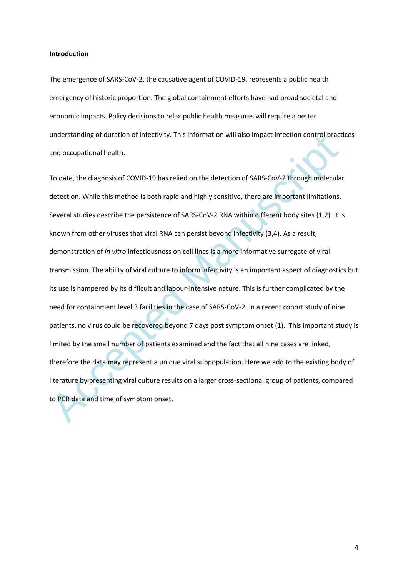### **Introduction**

The emergence of SARS-CoV-2, the causative agent of COVID-19, represents a public health emergency of historic proportion. The global containment efforts have had broad societal and economic impacts. Policy decisions to relax public health measures will require a better understanding of duration of infectivity. This information will also impact infection control practices and occupational health.

understanding or duration or innectivity. This information will also impact intection control pract<br>and occupational health.<br>To date, the diagnosis of COVID-19 has relied on the detection of SARS-CoV-2 through molecula<br>det To date, the diagnosis of COVID-19 has relied on the detection of SARS-CoV-2 through molecular detection. While this method is both rapid and highly sensitive, there are important limitations. Several studies describe the persistence of SARS-CoV-2 RNA within different body sites (1,2). It is known from other viruses that viral RNA can persist beyond infectivity (3,4). As a result, demonstration of *in vitro* infectiousness on cell lines is a more informative surrogate of viral transmission. The ability of viral culture to inform infectivity is an important aspect of diagnostics but its use is hampered by its difficult and labour-intensive nature. This is further complicated by the need for containment level 3 facilities in the case of SARS-CoV-2. In a recent cohort study of nine patients, no virus could be recovered beyond 7 days post symptom onset (1). This important study is limited by the small number of patients examined and the fact that all nine cases are linked, therefore the data may represent a unique viral subpopulation. Here we add to the existing body of literature by presenting viral culture results on a larger cross-sectional group of patients, compared to PCR data and time of symptom onset.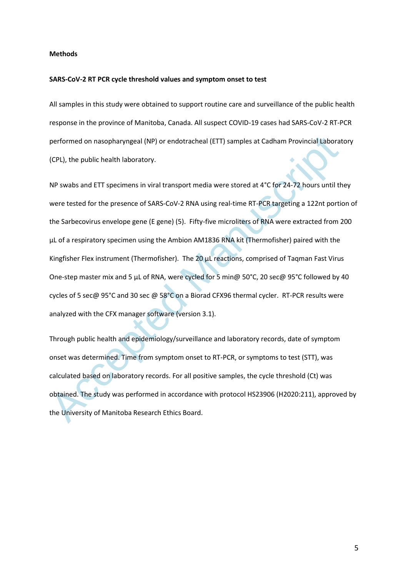### **Methods**

#### **SARS-CoV-2 RT PCR cycle threshold values and symptom onset to test**

All samples in this study were obtained to support routine care and surveillance of the public health response in the province of Manitoba, Canada. All suspect COVID-19 cases had SARS-CoV-2 RT-PCR performed on nasopharyngeal (NP) or endotracheal (ETT) samples at Cadham Provincial Laboratory (CPL), the public health laboratory.

performed on nasopharyngeal (NP) or endotracheal (ETT) samples at Cadham Provincial Laborat<br>(CPL), the public health laboratory.<br>
NP swabs and ETT specimens in viral transport media were stored at 4°C for 24-72 hours until NP swabs and ETT specimens in viral transport media were stored at 4°C for 24-72 hours until they were tested for the presence of SARS-CoV-2 RNA using real-time RT-PCR targeting a 122nt portion of the Sarbecovirus envelope gene (E gene) (5). Fifty-five microliters of RNA were extracted from 200 µL of a respiratory specimen using the Ambion AM1836 RNA kit (Thermofisher) paired with the Kingfisher Flex instrument (Thermofisher). The 20 µL reactions, comprised of Taqman Fast Virus One-step master mix and 5 µL of RNA, were cycled for 5 min@ 50°C, 20 sec@ 95°C followed by 40 cycles of 5 sec@ 95°C and 30 sec @ 58°C on a Biorad CFX96 thermal cycler. RT-PCR results were analyzed with the CFX manager software (version 3.1).

Through public health and epidemiology/surveillance and laboratory records, date of symptom onset was determined. Time from symptom onset to RT-PCR, or symptoms to test (STT), was calculated based on laboratory records. For all positive samples, the cycle threshold (Ct) was obtained. The study was performed in accordance with protocol HS23906 (H2020:211), approved by the University of Manitoba Research Ethics Board.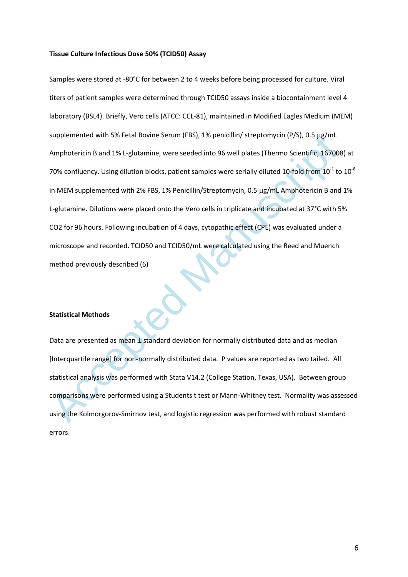### **Tissue Culture Infectious Dose 50% (TCID50) Assay**

suppremented with 5% Fetal isolnic serum (FBS), 1% penicilinity streptomycni (P/S), U.S µg/mL<br>
Amphotericin B and 1% L-glutamine, were seeded into 96 well plates (Thermo Scientific, 167008<br>
70% confluency. Using dilution b Samples were stored at -80°C for between 2 to 4 weeks before being processed for culture. Viral titers of patient samples were determined through TCID50 assays inside a biocontainment level 4 laboratory (BSL4). Briefly, Vero cells (ATCC: CCL-81), maintained in Modified Eagles Medium (MEM) supplemented with 5% Fetal Bovine Serum (FBS), 1% penicillin/ streptomycin (P/S), 0.5  $\mu$ g/mL Amphotericin B and 1% L-glutamine, were seeded into 96 well plates (Thermo Scientific, 167008) at 70% confluency. Using dilution blocks, patient samples were serially diluted 10-fold from 10<sup>-1</sup> to 10<sup>-8</sup> in MEM supplemented with 2% FBS, 1% Penicillin/Streptomycin, 0.5 µg/mL Amphotericin B and 1% L-glutamine. Dilutions were placed onto the Vero cells in triplicate and incubated at 37°C with 5% CO2 for 96 hours. Following incubation of 4 days, cytopathic effect (CPE) was evaluated under a microscope and recorded. TCID50 and TCID50/mL were calculated using the Reed and Muench method previously described (6)

## **Statistical Methods**

Data are presented as mean  $\pm$  standard deviation for normally distributed data and as median [Interquartile range] for non-normally distributed data. P values are reported as two tailed. All statistical analysis was performed with Stata V14.2 (College Station, Texas, USA). Between group comparisons were performed using a Students t test or Mann-Whitney test. Normality was assessed using the Kolmorgorov-Smirnov test, and logistic regression was performed with robust standard errors.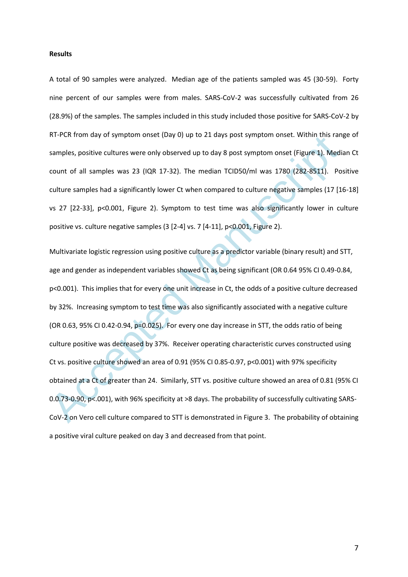### **Results**

A total of 90 samples were analyzed. Median age of the patients sampled was 45 (30-59). Forty nine percent of our samples were from males. SARS-CoV-2 was successfully cultivated from 26 (28.9%) of the samples. The samples included in this study included those positive for SARS-CoV-2 by RT-PCR from day of symptom onset (Day 0) up to 21 days post symptom onset. Within this range of samples, positive cultures were only observed up to day 8 post symptom onset (Figure 1). Median Ct count of all samples was 23 (IQR 17-32). The median TCID50/ml was 1780 (282-8511). Positive culture samples had a significantly lower Ct when compared to culture negative samples (17 [16-18] vs 27 [22-33], p<0.001, Figure 2). Symptom to test time was also significantly lower in culture positive vs. culture negative samples (3 [2-4] vs. 7 [4-11], p<0.001, Figure 2).

RT-PCK from tay or symptom onset (Day 0) up to 21 days post symptom onset. within this ran<br>samples, positive cultures were only observed up to day 8 post symptom onset (Figure 1). Medi<br>count of all samples was 23 (IQR 17-3 Multivariate logistic regression using positive culture as a predictor variable (binary result) and STT, age and gender as independent variables showed Ct as being significant (OR 0.64 95% CI 0.49-0.84, p<0.001). This implies that for every one unit increase in Ct, the odds of a positive culture decreased by 32%. Increasing symptom to test time was also significantly associated with a negative culture (OR 0.63, 95% CI 0.42-0.94, p=0.025). For every one day increase in STT, the odds ratio of being culture positive was decreased by 37%. Receiver operating characteristic curves constructed using Ct vs. positive culture showed an area of 0.91 (95% CI 0.85-0.97, p<0.001) with 97% specificity obtained at a Ct of greater than 24. Similarly, STT vs. positive culture showed an area of 0.81 (95% CI 0.0.73-0.90, p<.001), with 96% specificity at >8 days. The probability of successfully cultivating SARS-CoV-2 on Vero cell culture compared to STT is demonstrated in Figure 3. The probability of obtaining a positive viral culture peaked on day 3 and decreased from that point.

7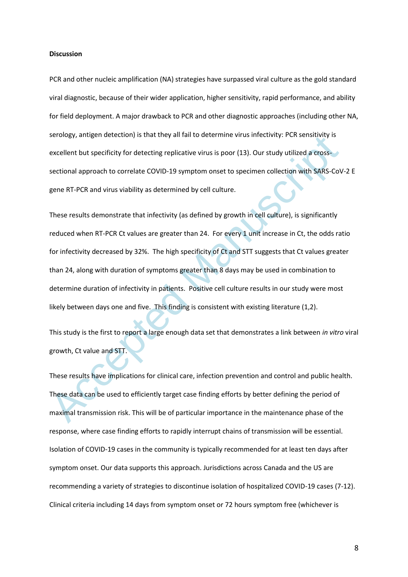### **Discussion**

PCR and other nucleic amplification (NA) strategies have surpassed viral culture as the gold standard viral diagnostic, because of their wider application, higher sensitivity, rapid performance, and ability for field deployment. A major drawback to PCR and other diagnostic approaches (including other NA, serology, antigen detection) is that they all fail to determine virus infectivity: PCR sensitivity is excellent but specificity for detecting replicative virus is poor (13). Our study utilized a crosssectional approach to correlate COVID-19 symptom onset to specimen collection with SARS-CoV-2 E gene RT-PCR and virus viability as determined by cell culture.

serology, antigen deelcloon) is that they all fail to determine virus intectivity. PCR sensitivity is<br>excellent but specificity for detecting replicative virus is poor (13). Our study utilized a cross-<br>sectional approach t These results demonstrate that infectivity (as defined by growth in cell culture), is significantly reduced when RT-PCR Ct values are greater than 24. For every 1 unit increase in Ct, the odds ratio for infectivity decreased by 32%. The high specificity of Ct and STT suggests that Ct values greater than 24, along with duration of symptoms greater than 8 days may be used in combination to determine duration of infectivity in patients. Positive cell culture results in our study were most likely between days one and five. This finding is consistent with existing literature (1,2).

This study is the first to report a large enough data set that demonstrates a link between *in vitro* viral growth, Ct value and STT.

These results have implications for clinical care, infection prevention and control and public health. These data can be used to efficiently target case finding efforts by better defining the period of maximal transmission risk. This will be of particular importance in the maintenance phase of the response, where case finding efforts to rapidly interrupt chains of transmission will be essential. Isolation of COVID-19 cases in the community is typically recommended for at least ten days after symptom onset. Our data supports this approach. Jurisdictions across Canada and the US are recommending a variety of strategies to discontinue isolation of hospitalized COVID-19 cases (7-12). Clinical criteria including 14 days from symptom onset or 72 hours symptom free (whichever is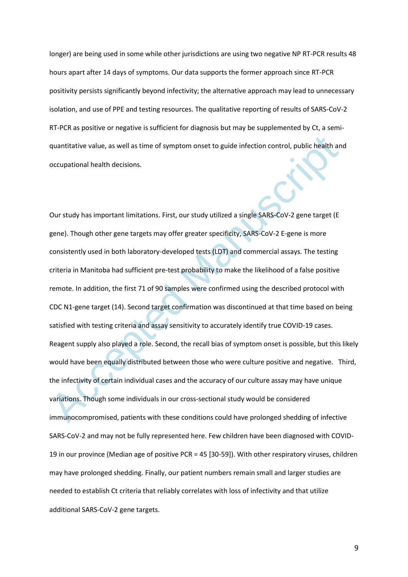longer) are being used in some while other jurisdictions are using two negative NP RT-PCR results 48 hours apart after 14 days of symptoms. Our data supports the former approach since RT-PCR positivity persists significantly beyond infectivity; the alternative approach may lead to unnecessary isolation, and use of PPE and testing resources. The qualitative reporting of results of SARS-CoV-2 RT-PCR as positive or negative is sufficient for diagnosis but may be supplemented by Ct, a semiquantitative value, as well as time of symptom onset to guide infection control, public health and occupational health decisions.

quantitative value, as well as time of symptom onset to guide infection control, public health an<br>occupational health decisions.<br>Our study has important limitations. First, our study utilized a single SARS-CoV-2 gene targe Our study has important limitations. First, our study utilized a single SARS-CoV-2 gene target (E gene). Though other gene targets may offer greater specificity, SARS-CoV-2 E-gene is more consistently used in both laboratory-developed tests (LDT) and commercial assays. The testing criteria in Manitoba had sufficient pre-test probability to make the likelihood of a false positive remote. In addition, the first 71 of 90 samples were confirmed using the described protocol with CDC N1-gene target (14). Second target confirmation was discontinued at that time based on being satisfied with testing criteria and assay sensitivity to accurately identify true COVID-19 cases. Reagent supply also played a role. Second, the recall bias of symptom onset is possible, but this likely would have been equally distributed between those who were culture positive and negative. Third, the infectivity of certain individual cases and the accuracy of our culture assay may have unique variations. Though some individuals in our cross-sectional study would be considered immunocompromised, patients with these conditions could have prolonged shedding of infective SARS-CoV-2 and may not be fully represented here. Few children have been diagnosed with COVID-19 in our province (Median age of positive PCR = 45 [30-59]). With other respiratory viruses, children may have prolonged shedding. Finally, our patient numbers remain small and larger studies are needed to establish Ct criteria that reliably correlates with loss of infectivity and that utilize additional SARS-CoV-2 gene targets.

9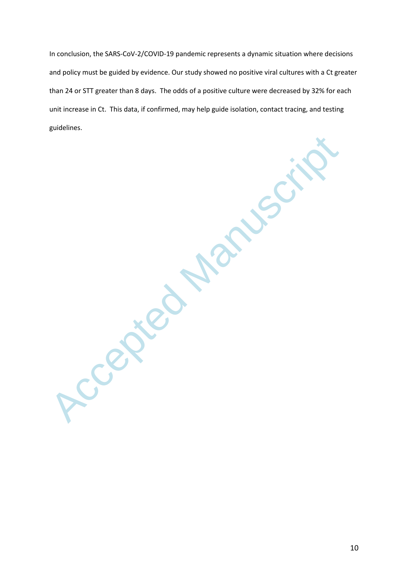In conclusion, the SARS-CoV-2/COVID-19 pandemic represents a dynamic situation where decisions and policy must be guided by evidence. Our study showed no positive viral cultures with a Ct greater than 24 or STT greater than 8 days. The odds of a positive culture were decreased by 32% for each unit increase in Ct. This data, if confirmed, may help guide isolation, contact tracing, and testing guidelines.

Accepted Manuscript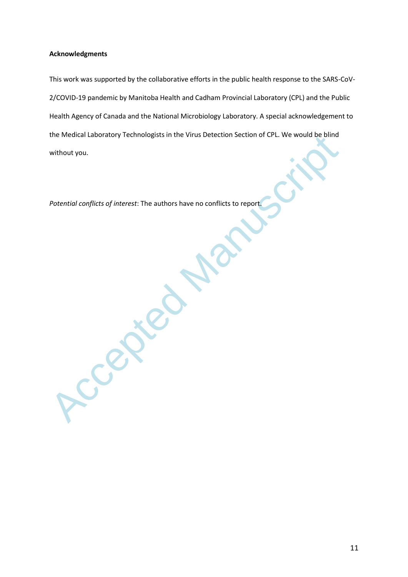## **Acknowledgments**

This work was supported by the collaborative efforts in the public health response to the SARS-CoV-2/COVID-19 pandemic by Manitoba Health and Cadham Provincial Laboratory (CPL) and the Public Health Agency of Canada and the National Microbiology Laboratory. A special acknowledgement to the Medical Laboratory Technologists in the Virus Detection Section of CPL. We would be blind without you.

*Potential conflicts of interest*: The authors have no conflicts to report.

Ccepte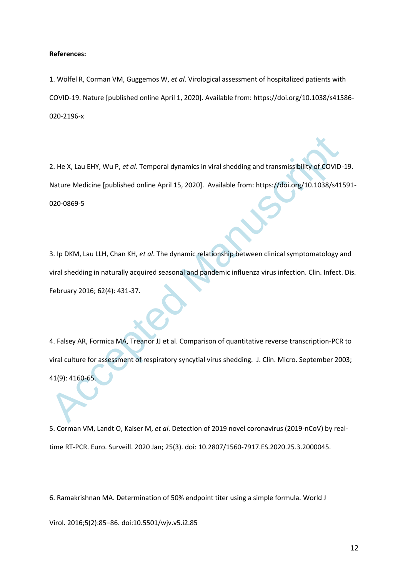### **References:**

1. Wölfel R, Corman VM, Guggemos W, *et al*. Virological assessment of hospitalized patients with COVID-19. Nature [published online April 1, 2020]. Available from: https://doi.org/10.1038/s41586- 020-2196-x

2. He X, Lau EHY, Wu P, et al. Temporal dynamics in viral shedding and transmissibility of COVID-<br>Nature Medicine [published online April 15, 2020]. Available from: https://doi.org/10.1038/s41<br>020-0869-5<br>3. Ip DKM, Lau LLH 2. He X, Lau EHY, Wu P, *et al*. Temporal dynamics in viral shedding and transmissibility of COVID-19. Nature Medicine [published online April 15, 2020]. Available from: https://doi.org/10.1038/s41591- 020-0869-5

3. Ip DKM, Lau LLH, Chan KH, *et al*. The dynamic relationship between clinical symptomatology and viral shedding in naturally acquired seasonal and pandemic influenza virus infection. Clin. Infect. Dis. February 2016; 62(4): 431-37.

4. Falsey AR, Formica MA, Treanor JJ et al. Comparison of quantitative reverse transcription-PCR to viral culture for assessment of respiratory syncytial virus shedding. J. Clin. Micro. September 2003; 41(9): 4160-65.

5. Corman VM, Landt O, Kaiser M, *et al*. Detection of 2019 novel coronavirus (2019-nCoV) by realtime RT-PCR. Euro. Surveill. 2020 Jan; 25(3). doi: 10.2807/1560-7917.ES.2020.25.3.2000045.

6. Ramakrishnan MA. Determination of 50% endpoint titer using a simple formula. World J

Virol. 2016;5(2):85–86. doi:10.5501/wjv.v5.i2.85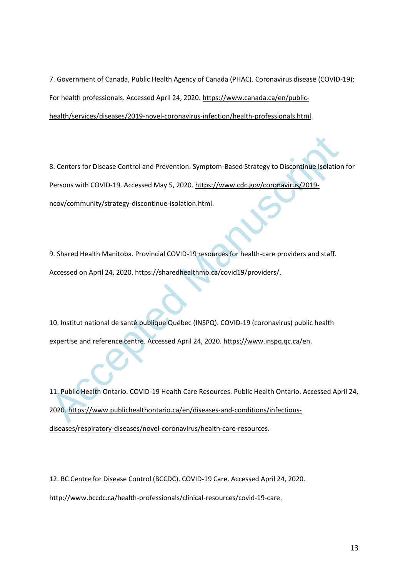7. Government of Canada, Public Health Agency of Canada (PHAC). Coronavirus disease (COVID-19): For health professionals. Accessed April 24, 2020[. https://www.canada.ca/en/public](https://www.canada.ca/en/public-health/services/diseases/2019-novel-coronavirus-infection/health-professionals.html)[health/services/diseases/2019-novel-coronavirus-infection/health-professionals.html.](https://www.canada.ca/en/public-health/services/diseases/2019-novel-coronavirus-infection/health-professionals.html)

8. Centers for Disease Control and Prevention. Symptom-Based Strategy to Discontinue Isolation<br>Persons with COVID-19. [A](https://www.publichealthontario.ca/en/diseases-and-conditions/infectious-diseases/respiratory-diseases/novel-coronavirus/health-care-resources)ccesse[d](https://sharedhealthmb.ca/covid19/providers/) [Ma](https://sharedhealthmb.ca/covid19/providers/)y 5, 2020. https://www.cdc.gov/coronavirus/2019-<br>ncov/community/strategy-discontinue-isolatio 8. Centers for Disease Control and Prevention. Symptom-Based Strategy to Discontinue Isolation for Persons with COVID-19. Accessed May 5, 2020. https://www.cdc.gov/coronavirus/2019 ncov/community/strategy-discontinue-isolation.html.

9. Shared Health Manitoba. Provincial COVID-19 resources for health-care providers and staff. Accessed on April 24, 2020. https://sharedhealthmb.ca/covid19/providers/.

10. Institut national de santé publique Québec (INSPQ). COVID-19 (coronavirus) public health expertise and reference centre. Accessed April 24, 2020. https://www.inspq.qc.ca/en.

11. Public Health Ontario. COVID-19 Health Care Resources. Public Health Ontario. Accessed April 24, 2020. https://www.publichealthontario.ca/en/diseases-and-conditions/infectious[diseases/respiratory-diseases/novel-coronavirus/health-care-resources.](https://www.publichealthontario.ca/en/diseases-and-conditions/infectious-diseases/respiratory-diseases/novel-coronavirus/health-care-resources)

12. BC Centre for Disease Control (BCCDC). COVID-19 Care. Accessed April 24, 2020. [http://www.bccdc.ca/health-professionals/clinical-resources/covid-19-care.](http://www.bccdc.ca/health-professionals/clinical-resources/covid-19-care)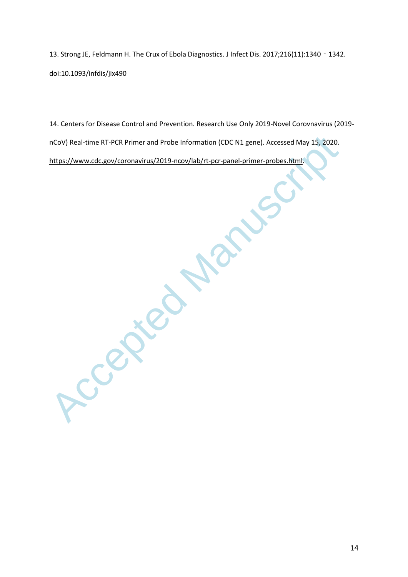13. Strong JE, Feldmann H. The Crux of Ebola Diagnostics. J Infect Dis. 2017;216(11):1340 - 1342. doi:10.1093/infdis/jix490

14. Centers for Disease Control and Prevention. Research Use Only 2019-Novel Corovnavirus (2019 nCoV) Real-time RT-PCR Primer and Probe Information (CDC N1 gene). Accessed May 15, 2020. https://www.cdc.gov/coronavirus/2019-ncov/lab/rt-pcr-panel-primer-probes.html.

nCoV) Real-time RT-PCR Primer and Probe Information (CDC N1 gene). Accessed May 15, 2020.<br>https://www.cdc.gov/coronavirus/2019-ncov/lab/rt-pcr-panel-primer-probes.html:<br>Access of the Contract of the Contract of the Contrac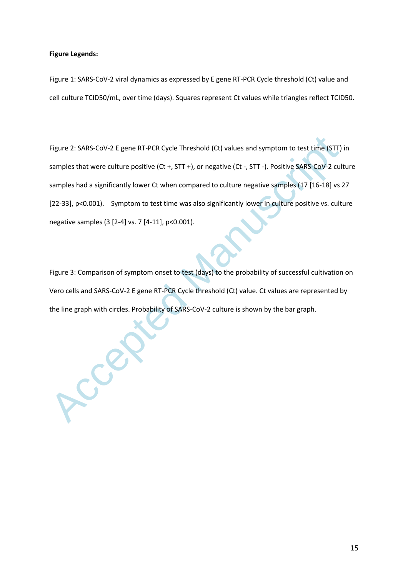### **Figure Legends:**

Figure 1: SARS-CoV-2 viral dynamics as expressed by E gene RT-PCR Cycle threshold (Ct) value and cell culture TCID50/mL, over time (days). Squares represent Ct values while triangles reflect TCID50.

Figure 2: SARS-CoV-2 E gene RT-PCR Cycle Threshold (Ct) values and symptom to test time (STT)<br>samples that were culture positive (Ct +, STT +), or negative (Ct -, STT -). Positive SARS-CoV-2 cul<br>samples had a significantl Figure 2: SARS-CoV-2 E gene RT-PCR Cycle Threshold (Ct) values and symptom to test time (STT) in samples that were culture positive (Ct +, STT +), or negative (Ct -, STT -). Positive SARS-CoV-2 culture samples had a significantly lower Ct when compared to culture negative samples (17 [16-18] vs 27 [22-33], p<0.001). Symptom to test time was also significantly lower in culture positive vs. culture negative samples (3 [2-4] vs. 7 [4-11], p<0.001).

Figure 3: Comparison of symptom onset to test (days) to the probability of successful cultivation on Vero cells and SARS-CoV-2 E gene RT-PCR Cycle threshold (Ct) value. Ct values are represented by the line graph with circles. Probability of SARS-CoV-2 culture is shown by the bar graph.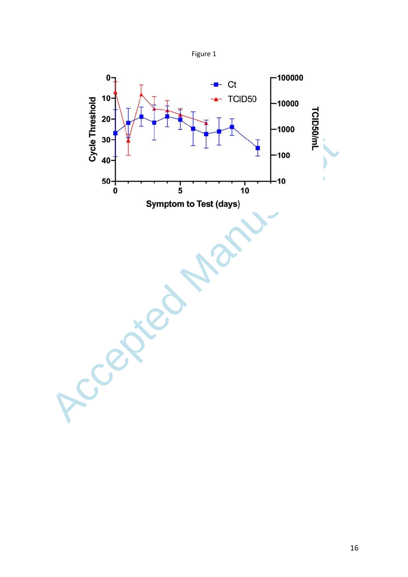

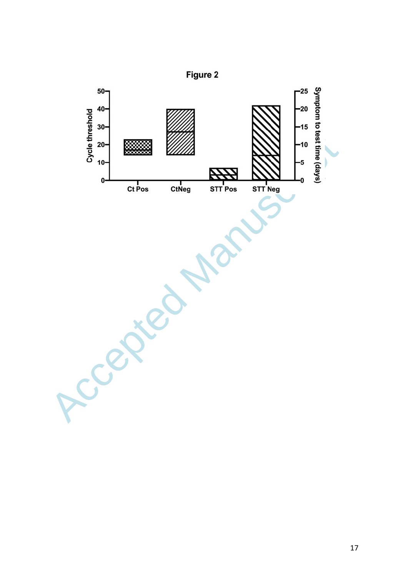